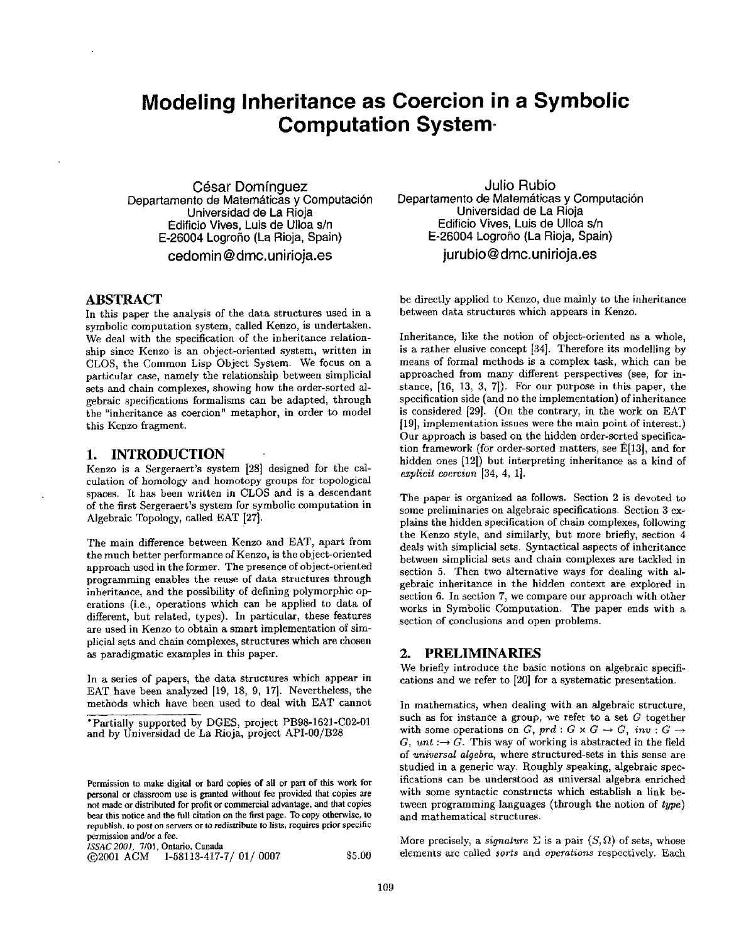# **Modeling Inheritance as Coercion in a Symbolic Computation System-**

**Casar Dominguez Departamento de Matemáticas y Computación Universidad de La Rioja Edificio Vives, Luis de UIIoa s/n E-26004 Logrofio (La Rioja, Spain)** 

**cedomin@dmc.unirioja.es** 

### **ABSTRACT**

In this paper the analysis of the data structures used in a symbolic computation system, called Kenzo, is undertaken. We deal with the specification of the inheritance relationship since Kenzo is an object-oriented system, written in CLOS, the Common Lisp Object System. We focus on a particular case, namely the relationship between simplicial sets and chain complexes, showing how the order-sorted algebraic specifications formalisms can be adapted, through the "inheritance as coercion" metaphor, in order to model this Kenzo fragment.

### **1. INTRODUCTION**

Kenzo is a Sergeraert's system [28] designed for the calculation of homology and homotopy groups for topological spaces. It has been written in CLOS and is a descendant of the first Sergeraert's system for symbolic computation in Algebraic Topology, called EAT [27].

The main difference between Kenzo and EAT, apart from the much better performance of Kenzo, is the object-oriented approach used in the former. The presence of object-oriented programming enables the reuse of data structures through inheritance, and the possibility of defining polymorphic operations (i.e., operations which can be applied to data of different, but related, types). In particular, these features are used in Kenzo to obtain a smart implementation of simplicial sets and chain complexes, structures which are chosen as paradigmatic examples in this paper.

In a series of papers, the data structures which appear in EAT have been analyzed [19, 18, 9, 17]. Nevertheless, the methods which have been used to deal with EAT cannot

*ISSAC 2001,* 7/01, Ontario, **Canada** 

 $\odot$ 2001 ACM 1-58113-417-7/01/0007 \$5.00

**Julio Rubio Departamento de Matemáticas y Computación Universidad de La Rioja Edificio Vives, Luis de UIIoa s/n E-26004 Logro5o (La Rioja, Spain) jurubio@dmc.unirioja.es** 

be directly applied to Kenzo, due mainly to the inheritance between data structures which appears in Kenzo.

Inheritance, like the notion of object-oriented as a whole, is a rather elusive concept [34]. Therefore its modelling by means of formal methods is a complex task, which can be approached from many different perspectives (see, for instance, [16, 13, 3, 7]). For our purpose in this paper, the specification side (and no the implementation) of inheritance is considered [29]. (On the contrary, in the work on EAT [19], implementation issues were the main point of interest.) Our approach is based on the hidden order-sorted specification framework (for order-sorted matters, see  $E[13]$ , and for hidden ones [12]) but interpreting inheritance as a kind of *ezplicit coercion* [34, 4, 1].

The paper is organized as follows. Section 2 is devoted to some preliminaries on algebraic specifications. Section 3 explains the hidden specification of chain complexes, following the Kenzo style, and similarly, but more briefly, section 4 deals with simplicial sets. Syntactical aspects of inheritance between simplicial sets and chain complexes are tackled in section 5. Then two alternative ways for dealing with algebraic inheritance in the hidden context are explored in section 6. In section 7, we compare our approach with other works in Symbolic Computation. The paper ends with a section of conclusions and open problems.

### **2. PRELIMINARIES**

We briefly introduce the basic notions on algebraic specifications and we refer to [20] for a systematic presentation.

In mathematics, when dealing with an algebraic structure, such as for instance a group, we refer to a set  $G$  together with some operations on *G*,  $prd: G \times G \rightarrow G$ ,  $inv: G \rightarrow$ *G, unt :* $\rightarrow$  *G.* This way of working is abstracted in the field of *universal algebra,* where structured-sets in this sense are studied in a generic way. Roughly speaking, algebraic specifications can be understood as universal algebra enriched with some syntactic constructs which establish a link between programming languages (through the notion of *type)*  and mathematical structures.

More precisely, a *signature*  $\Sigma$  is a pair  $(S, \Omega)$  of sets, whose elements are called *sorts* and *operations* respectively. Each

<sup>\*</sup>Partially supported by DGES, project PB98-1621-C02-01 and by Universidad de La Rioja, project API-00/B28

Permission to make digital or hard copies of all or part of this work for personal or classroom use is granted without fee provided that **copies are**  not made or dislributed for profit or commercial **advantage, and that** copies bear this notice **and the** full citation on the first **page. To copy otherwise, to**  republish, to post on servers or to redistribute to lists, requires prior **specific**  permission and/or a fee.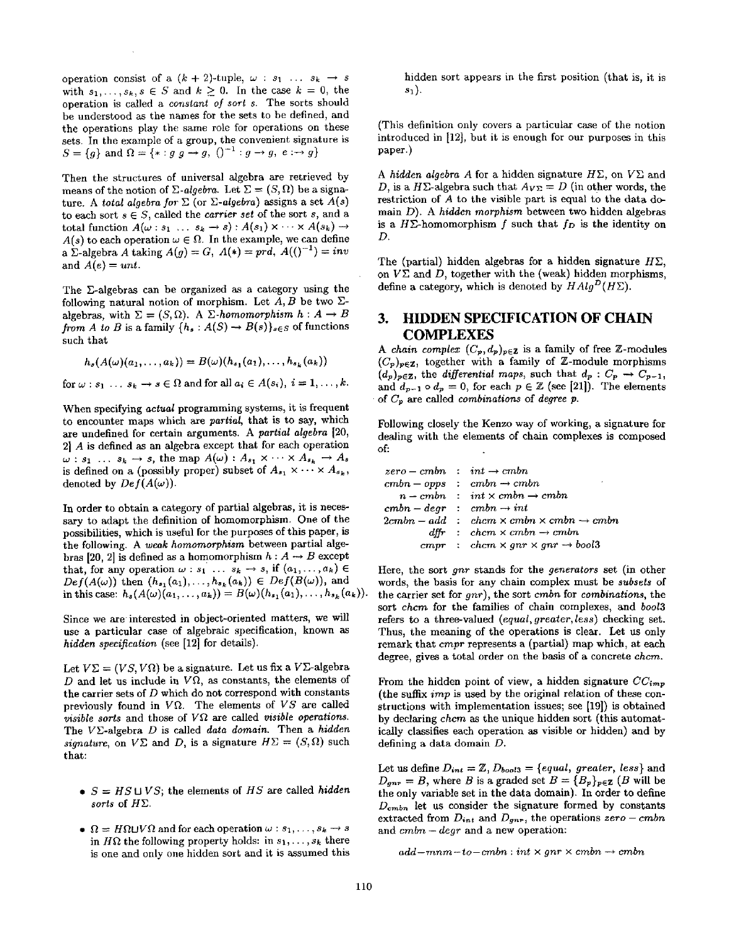operation consist of a  $(k + 2)$ -tuple,  $\omega : s_1 \dots s_k \rightarrow s$ with  $s_1, \ldots, s_k, s \in S$  and  $k \geq 0$ . In the case  $k = 0$ , the operation is called a *constant of sort s.* The sorts should be understood as the names for the sets to be defined, and the operations play the same role for operations on these sets. In the example of a group, the convenient signature is  $S=\{g\}$  and  $\Omega=\{*\colon g\circ g\to g, (')^{-1}:g\to g, e:\to g\}$ 

Then the structures of universal algebra are retrieved by means of the notion of *E-algebra*. Let  $\Sigma = (S, \Omega)$  be a signature. A *total algebra for*  $\Sigma$  (or  $\Sigma$ -algebra) assigns a set  $A(s)$ to each sort  $s \in S$ , called the *carrier set* of the sort  $s$ , and a total function  $A(\omega : s_1 \ldots s_k \rightarrow s) : A(s_1) \times \cdots \times A(s_k) \rightarrow$  $A(s)$  to each operation  $\omega \in \Omega$ . In the example, we can define a  $\Sigma$ -algebra A taking  $A(g) = G$ ,  $A(*) = prd$ ,  $A((r^{-1}) = inv)$ and  $A(e) = unt$ .

The E-algebras can be organized as a category using the following natural notion of morphism. Let A, B be two  $\Sigma$ algebras, with  $\Sigma = (S, \Omega)$ . A  $\Sigma$ -homomorphism  $h : A \rightarrow B$ *from A to B* is a family  $\{h_s : A(S) \to B(s)\}_{s \in S}$  of functions such that

$$
h_s(A(\omega)(a_1,\ldots,a_k))=B(\omega)(h_{s_1}(a_1),\ldots,h_{s_k}(a_k))
$$

for  $\omega : s_1 \dots s_k \to s \in \Omega$  and for all  $a_i \in A(s_i), i = 1, \dots, k$ .

When specifying *actual* programming systems, it is frequent to encounter maps which are *partial,* that is to say, which axe undefined for certain arguments. A *partial algebra* [20, 2] A is defined as an algebra except that for each operation  $\omega : s_1 \dots s_k \to s$ , the map  $A(\omega) : A_{s_1} \times \cdots \times A_{s_k} \to A_s$ is defined on a (possibly proper) subset of  $A_{s_1} \times \cdots \times A_{s_k}$ , denoted by  $Def(A(\omega))$ .

In order to obtain a category of partial algebras, it is necessary to adapt the definition of homomorphism. One of the possibilities, which is useful for the purposes of this paper, is the following. A *weak homomorphism* between partial algebras [20, 2] is defined as a homomorphism  $h : A \rightarrow B$  except that, for any operation  $\omega : s_1 \ldots s_k \to s$ , if  $(a_1,\ldots,a_k) \in$  $Def(A(\omega))$  then  $(h_{s_1}(a_1),...,h_{s_k}(a_k)) \in Def(B(\omega))$ , and in this case:  $h_s(A(\omega)(a_1,..., a_k)) = B(\omega)(h_{s_1}(a_1),..., h_{s_k}(a_k)).$ 

Since we are interested in object-oriented matters, we will use a particular case of algebraic specification, known as *hidden specification* (see [12] for details).

Let  $V\Sigma = (VS, V\Omega)$  be a signature. Let us fix a  $V\Sigma$ -algebra D and let us include in  $V\Omega$ , as constants, the elements of the carrier sets of  $D$  which do not correspond with constants previously found in  $V\Omega$ . The elements of  $VS$  are called *visible sorts* and those of  $V\Omega$  are called *visible operations*. The VE-algebra D is called *data domain.* Then a *hidden signature,* on  $V\Sigma$  and D, is a signature  $H\Sigma = (S, \Omega)$  such that:

- $S = HS \cup VS$ ; the elements of *HS* are called *hidden sorts* of HE.
- $\Omega = H\Omega \cup V\Omega$  and for each operation  $\omega : s_1, \ldots, s_k \rightarrow s$ in  $H\Omega$  the following property holds: in  $s_1,\ldots, s_k$  there is one and only one hidden sort and it is assumed this

hidden sort appears in the first position (that is, it is  $s_1$ ).

(This definition only covers a particular case of the notion introduced in [12], but it is enough for our purposes in this paper.)

A *hidden algebra A* for a hidden signature  $H\Sigma$ , on  $V\Sigma$  and D, is a H $\Sigma$ -algebra such that  $A_{V\Sigma} = D$  (in other words, the restriction of A to the visible part is equal to the data domain D). A *hidden morphism* between two hidden algebras is a  $H\ddot{\Sigma}$ -homomorphism f such that  $f_D$  is the identity on D.

The (partial) hidden algebras for a hidden signature  $H\Sigma$ , on  $V\Sigma$  and D, together with the (weak) hidden morphisms, define a category, which is denoted by  $HAlg^D(H\Sigma)$ .

## **3. HIDDEN SPECIFICATION OF CHAIN COMPLEXES**

*A chain complex*  $(C_p, d_p)_{p \in \mathbb{Z}}$  is a family of free Z-modules  $(C_p)_{p \in \mathbb{Z}}$ , together with a family of Z-module morphisms  $(d_p)_{p \in \mathbb{Z}}$ , the *differential maps*, such that  $d_p : C_p \to C_{p-1}$ , and  $d_{p-1} \circ d_p = 0$ , for each  $p \in \mathbb{Z}$  (see [21]). The elements • of Cp are called *combinations* of *degree p.* 

Following closely the Kenzo way of working, a signature for dealing with the elements of chain complexes is composed of:

| $zero - cmbn$ : $int \rightarrow cmbn$ |                                                                   |
|----------------------------------------|-------------------------------------------------------------------|
|                                        | $cmbn - opps : cmbn \rightarrow cmbn$                             |
|                                        | $n$ – cmbn : int $\times$ cmbn $\rightarrow$ cmbn                 |
| $cmbn-degr : cmbn \rightarrow int$     |                                                                   |
|                                        | $2cmbn - add \cdot chcm \times cmbn \times cmbn \rightarrow cmbn$ |
|                                        | $d\mathit{ffr}$ : chcm $\times$ cmbn $\rightarrow$ cmbn           |
|                                        | cmpr : chem $\times$ gnr $\times$ gnr $\rightarrow$ bool3         |

Here, the sort *gnr* stands for the *generators* set (in other words, the basis for any chain complex must be *subsets* of the carrier set for *gnr),* the sort *cmbn* for *combinations,* the sort *chcm* for the families of chain complexes, and *bool3*  refers to a three-valued *(equal, greater, less)* checking set. Thus, the meaning of the operations is clear. Let us only remark that *cmpr* represents a (partial) map which, at each degree, gives a total order on the basis of a concrete *chcm.* 

From the hidden point of view, a hidden signature  $CC_{imp}$ (the suffix *imp* is used by the original relation of these constructions with implementation issues; see [19]) is obtained by declaring *chcm as* the unique hidden sort (this automatically classifies each operation as visible or hidden) and by defining a data domain D.

Let us define  $D_{int} = \mathbb{Z}$ ,  $D_{bool3} = \{equal, greater, less\}$  and  $D_{gnr} = B$ , where B is a graded set  $B = {B_p}_{p \in \mathbb{Z}} (B)$  will be the only variable set in the data domain). In order to define  $D_{\text{cmb}}$  let us consider the signature formed by constants extracted from  $D_{int}$  and  $D_{gnr}$ , the operations  $zero-cmhn$ and *cmbn - degr* and a new operation:

 $add -mm - to - cmb : int \times gnr \times cmb \rightarrow cmb$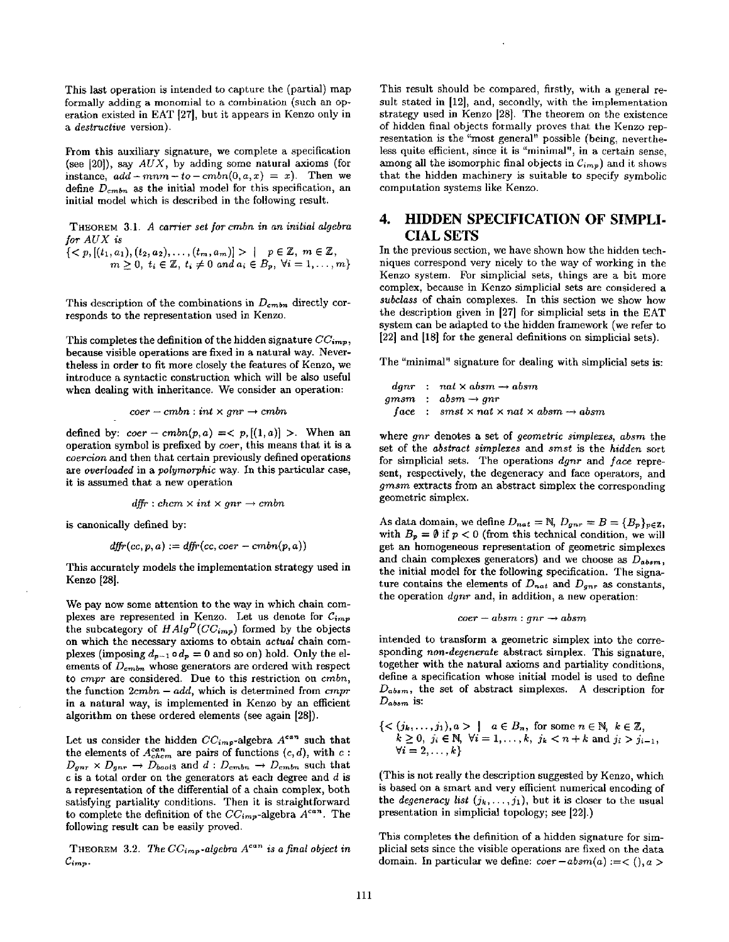This last operation is intended to capture the (partial) map formally adding a monomial to a combination (such an operation existed in EAT [27], but it appears in Kenzo only in *a destructive* version).

From this auxiliary signature, we complete a specification (see [20]), say *AUX,* by adding some natural axioms (for instance,  $add - mnm - to - cmb(0, a, x) = x$ ). Then we define  $D_{cmbn}$  as the initial model for this specification, an initial model which is described in the following result.

THEOREM 3.1. *A carrier set for cmbn in an initial algebra for AUX is* 

 $p_{p}(t_{1},a_{1}),(t_{2},a_{2}),\ldots,(t_{m},a_{m})] > | \quad p\in \mathbb{Z},\; m\in \mathbb{Z},$ 0,  $t_i \in \mathbb{Z}, t_i \neq 0$  and  $a_i \in B_p$ ,  $\forall i = 1, \ldots, m$ 

This description of the combinations in  $D_{cmbn}$  directly corresponds to the representation used in Kenzo.

This completes the definition of the hidden signature  $CC_{imp}$ , because visible operations are fixed in a natural way. Nevertheless in order to fit more closely the features of Kenzo, we introduce a syntactic construction which will be also useful when dealing with inheritance. We consider an operation:

$$
coer-cmbn: int\times gnr\rightarrow cmbn
$$

defined by:  $coer - cmbn(p, a) = < p, [(1, a)] >$ . When an operation symbol is prefixed by *coer,* this means that it is a *coercion* and then that certain previously defined operations *are overloaded* in a *polymorphic* way. In this particular case, it is assumed that a new operation

$$
\textit{dffr} : \textit{chem} \times \textit{int} \times \textit{gnr} \rightarrow \textit{cmbn}
$$

is canonically defined by:

$$
d\!f\!f\!r(cc,p,a) := d\!f\!f\!r(cc,coer -cmbn(p,a))
$$

This accurately models the implementation strategy used in Kenzo [28].

We pay now some attention to the way in which chain complexes are represented in Kenzo. Let us denote for  $C_{imp}$ the subcategory of  $HAlg^D(CC_{imp})$  formed by the objects on which the necessary axioms to obtain *actual* chain complexes (imposing  $d_{p-1} \circ d_p = 0$  and so on) hold. Only the elements of  $D_{cmb}$  whose generators are ordered with respect to *cmpr are* considered. Due to this restriction on cmbn, the function *2cmbn - add,* which is determined from *cmpr*  in a natural way, is implemented in Kenzo by an efficient algorithm on these ordered elements (see again [28]).

Let us consider the hidden  $CC_{imp}$ -algebra  $A^{can}$  such that the elements of  $A_{chem}^{can}$  are pairs of functions  $(c, d)$ , with  $c$ :  $D_{gnr} \times D_{gnr} \rightarrow D_{bool3}$  and  $d : D_{cmbn} \rightarrow D_{cmbn}$  such that  $c$  is a total order on the generators at each degree and  $d$  is a representation of the differential of a chain complex, both satisfying partiality conditions. Then it is straightforward to complete the definition of the  $CC_{imp}$ -algebra  $A^{can}$ . The following result can be easily proved.

THEOREM 3.2. *The*  $CC_{imp}$ *-algebra A<sup>can</sup>* is a final object in  $\mathcal{C}_{imp}$ .

This result should be compared, firstly, with a general result stated in [12], and, secondly, with the implementation strategy used in Kenzo [28]. The theorem on the existence of hidden final objects formally proves that the Kenzo representation is the "most general" possible (being, nevertheless quite efficient, since it is "minimal", in a certain sense, among all the isomorphic final objects in  $C_{imp}$ ) and it shows that the hidden machinery is suitable to specify symbolic computation systems like Kenzo.

#### 4. **4. HIDDEN SPECIFICATION OF SIMPLI-CIAL SETS**

In the previous section, we have shown how the hidden techniques correspond very nicely to the way of working in the Kenzo system. For simplicial sets, things are a bit more complex, because in Kenzo simplicial sets are considered a *subclass* of chain complexes. In this section we show how the description given in [27] for simplicial sets in the EAT system can be adapted to the hidden framework (we refer to [22] and [18] for the general definitions on simplicial sets).

The "minimal" signature for dealing with simplicial sets is:

$$
dgnr : nat \times absm \rightarrow absm
$$
  
gmsm : absm \rightarrow gnr  
face : smst \times nat \times nat \times absm \rightarrow absm

where *gnr* denotes a set of *geometric simplexes, absm* the set of the *abstract simplexes* and *smst* is the *hidden* sort for simplicial sets. The operations *dgnr* and *face* represent, respectively, the degeneracy and face operators, and *gmsm* extracts from an abstract simplex the corresponding geometric simplex.

As data domain, we define  $D_{nat} = \mathbb{N}, D_{gnr} = B = \{B_p\}_{p \in \mathbb{Z}},$ with  $B_p = \emptyset$  if  $p < 0$  (from this technical condition, we will get an homogeneous representation of geometric simplexes and chain complexes generators) and we choose as  $D_{absm}$ , the initial model for the following specification. The signature contains the elements of  $D_{nat}$  and  $D_{an}$  as constants, the operation *dgnr* and, in addition, a new operation:

$$
coer-absm: gnr \to absm
$$

intended to transform a geometric simplex into the corresponding *non-degenerate* abstract simplex. This signature, together with the natural axioms and partiality conditions, define a specification whose initial model is used to define *Dabsm,* the set of abstract simplexes. A description for *Dabsm* is:

$$
\{<(j_k,...,j_1), a> | a \in B_n, \text{ for some } n \in \mathbb{N}, k \in \mathbb{Z}, k \ge 0, j_i \in \mathbb{N}, \forall i = 1,...,k, j_k < n+k \text{ and } j_i > j_{i-1}, \forall i = 2,...,k\}
$$

(This is not really the description suggested by Kenzo, which is based on a smart and very efficient numerical encoding of the *degeneracy list*  $(j_k, \ldots, j_1)$ , but it is closer to the usual presentation in simplicial topology; see [22].)

This completes the definition of a hidden signature for simplicial sets since the visible operations are fixed on the data domain. In particular we define:  $coer-absm(a) := < (0, a > 0)$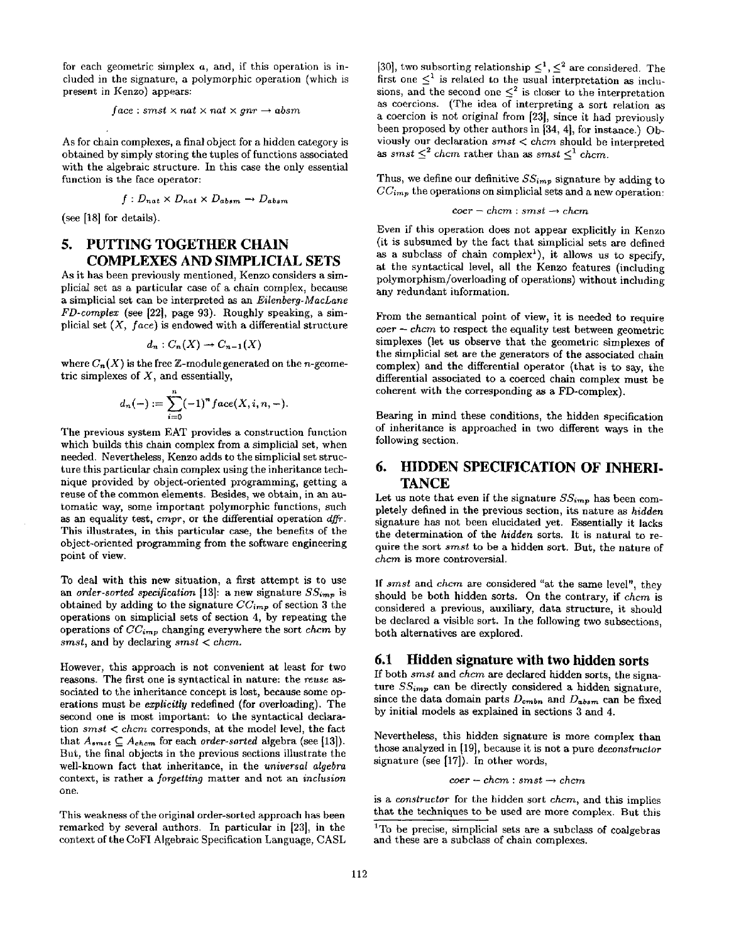for each geometric simplex a, and, if this operation is included in the signature, a polymorphic operation (which is present in Kenzo) appears:

 $face: smst \times nat \times nat \times gnr \rightarrow absm$ 

As for chain complexes, a final object for a hidden category is obtained by simply storing the tuples of functions associated with the algebraic structure. In this case the only essential function is the face operator:

$$
f: D_{nat} \times D_{nat} \times D_{absm} \rightarrow D_{absm}
$$

(see [18] for details).

#### 5. **5. PUTTING TOGETHER CHAIN COMPLEXES AND SIMPLICIAL SETS**

As it has been previously mentioned, Kenzo considers a simplicial set as a particular case of a chain complex, because a simplicial set can be interpreted as an *Eilenberg-MacLane FD-comples:* (see [22], page 93). Roughly speaking, a simplicial set *(X, face)* is endowed with a differential structure

$$
d_n:C_n(X)\to C_{n-1}(X)
$$

where  $C_n(X)$  is the free Z-module generated on the *n*-geometric simplexes of  $X$ , and essentially,

$$
d_n(-) := \sum_{i=0}^n (-1)^n face(X, i, n, -).
$$

The previous system EAT provides a construction function which builds this chain complex from a simplicial set, when needed. Nevertheless, Kenzo adds to the simplicial set structure this particular chain complex using the inheritance technique provided by object-oriented programming, getting a reuse of the common elements. Besides, we obtain, in an automatic way, some important polymorphic functions, such as an equality test, *cmpr*, or the differential operation dffr. This illustrates, in this particular case, the benefits of the object-oriented programming from the software engineering point of view.

To deal with this new situation, a first attempt is to use an *order-sorted specification* [13]: a new signature  $SS_{imp}$  is obtained by adding to the signature *CCimp* of section 3 the operations on simplicial sets of section 4, by repeating the operations of *CCi,~p* changing everywhere the sort *ehem* by *smst*, and by declaring *smst* < *chcm*.

However, this approach is not convenient at least for two reasons. The first one is syntactical in nature: the *reuse as*sociated to the inheritance concept is lost, because some operations must be *explicitly* redefined (for overloading). The second one is most important: to the syntactical declaration *smst < chcm* corresponds, at the model level, the fact that  $A_{smst} \subseteq A_{chem}$  for each *order-sorted* algebra (see [13]). But, the final objects in the previous sections illustrate the well-known fact that inheritance, in the *universal algebra*  context, is rather a *forgetting* matter and not an *inclusion*  one.

This weakness of the original order-sorted approach has been remarked by several authors. In particular in [23], in the context of the CoFI Algebraic Specification Language, CASL [30], two subsorting relationship  $\leq^1$ ,  $\leq^2$  are considered. The first one  $\leq^1$  is related to the usual interpretation as inclusions, and the second one  $\leq^2$  is closer to the interpretation as coercions. (The idea of interpreting a sort relation as a coercion is not original from [23], since it had previously been proposed by other authors in [34, 4], for instance.) Obviously our declaration *smst < chcm* should be interpreted as *smst*  $\leq^2$  *chcm* rather than as *smst*  $\leq^1$  *chcm.* 

Thus, we define our definitive  $SS_{imp}$  signature by adding to  $CC_{imp}$  the operations on simplicial sets and a new operation:

$$
coer-chem: smst \rightarrow chem
$$

Even if this operation does not appear explicitly in Kenzo (it is subsumed by the fact that simplicial sets are defined as a subclass of chain complex<sup>1</sup>), it allows us to specify, at the syntactical level, all the Kenzo features (including polymorphism/overloading of operations) without including any redundant information.

From the semantical point of view, it is needed to require *coer - chcm* to respect the equality test between geometric simplexes (let us observe that the geometric simplexes of the simplicial set are the generators of the associated chain complex) and the differential operator (that is to say, the differential associated to a coerced chain complex must be coherent with the corresponding as a FD-complex).

Bearing in mind these conditions, the hidden specification of inheritance is approached in two different ways in the following section.

#### **HIDDEN SPECIFICATION OF INHERI-**6. **TANCE**

Let us note that even if the signature  $SS_{imp}$  has been completely defined in the previous section, its nature as *hidden*  signature has not been elucidated yet. Essentially it lacks the determination of the *hidden* sorts. It is natural to require the sort *smst* to be a hidden sort. But, the nature of *chcm* is more controversial.

If *smst* and *chcm* are considered "at the same level", they should be both hidden sorts. On the contrary, if *chcm* is considered a previous, auxiliary, data structure, it should be declared a visible sort. In the following two subsections, both alternatives are explored.

### **6.1 Hidden signature with two hidden sorts**

If both *smst* and *ehcm are* declared hidden sorts, the signature  $SS_{imp}$  can be directly considered a hidden signature, since the data domain parts  $D_{\text{cm}}$  and  $D_{\text{abs}}$  can be fixed by initial models as explained in sections 3 and 4.

Nevertheless, this hidden signature is more complex than those analyzed in [19], because it is not a pure *deconstructor*  signature (see [17]). In other words,

 $coer - chem : smst \rightarrow chem$ 

is a *constructor* for the hidden sort *chcm,* and this implies that the techniques to be used are more complex. But this

<sup>&</sup>lt;sup>1</sup>To be precise, simplicial sets are a subclass of coalgebras and these are a subclass of chain complexes.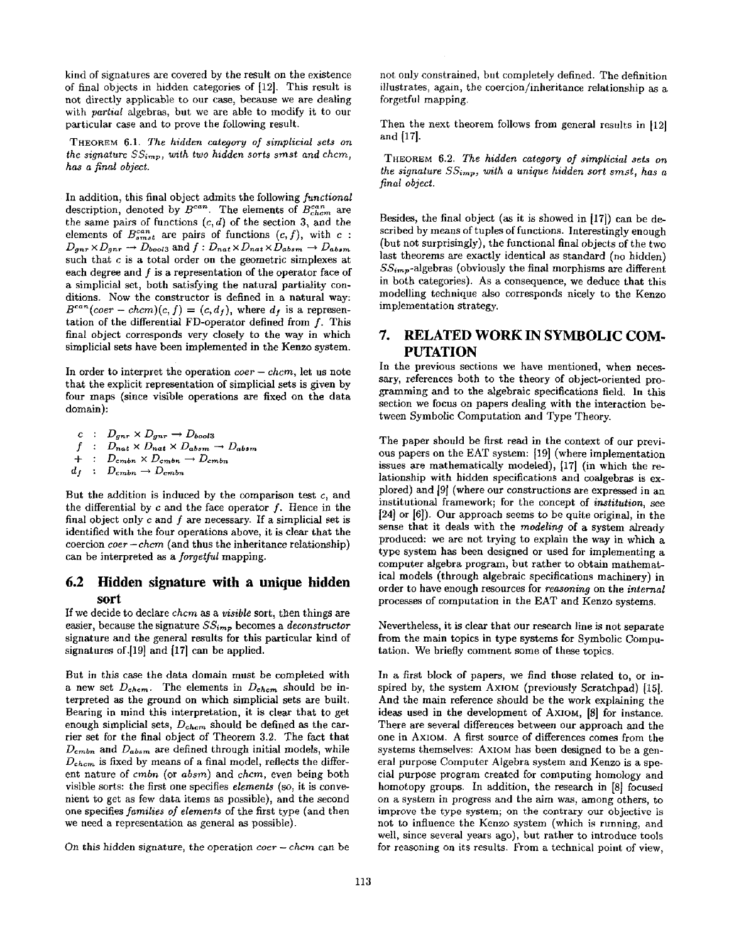kind of signatures are covered by the result on the existence of final objects in hidden categories of [12]. This result is not directly applicable to our case, because we are dealing with *partial* algebras, but we are able to modify it to our particular case and to prove the following result.

THEOREM 6.1. *The hidden category of simplicial sets on the signature*  $SS_{imp}$ , with two hidden sorts smst and chcm, *has a final object.* 

In addition, this final object admits the following *functional*  description, denoted by  $B^{can}$ . The elements of  $B^{can}_{chem}$  are the same pairs of functions  $(c, d)$  of the section 3, and the elements of  $B_{smst}^{can}$  are pairs of functions  $(c, f)$ , with  $c$ :  $D_{gnr} \times D_{gnr} \rightarrow D_{bool3}$  and  $f : D_{nat} \times D_{nat} \times D_{absm} \rightarrow D_{absm}$ such that  $c$  is a total order on the geometric simplexes at each degree and  $f$  is a representation of the operator face of a simplicial set, both satisfying the natural partiality conditions. Now the constructor is defined in a natural way:  $B^{can}(coer - chcm)(c, f) = (c, d_f)$ , where  $d_f$  is a representation of the differential FD-operator defined from f. This final object corresponds very closely to the way in which simpliciai sets have been implemented in the Kenzo system.

In order to interpret the operation *coer - chcm,* let us note that the explicit representation of simplicial sets is given by four maps (since visible operations are fixed on the data domain):

$$
c: D_{gnr} \times D_{gnr} \rightarrow D_{bool3}
$$
  
\n
$$
f: D_{nat} \times D_{nat} \times D_{absm} \rightarrow D_{absm}
$$
  
\n
$$
+: D_{cmbn} \times D_{cmbn} \rightarrow D_{cmbn}
$$
  
\n
$$
d_f: D_{cmbn} \rightarrow D_{cmbn}
$$

But the addition is induced by the comparison test c, and the differential by  $c$  and the face operator  $f$ . Hence in the final object only  $c$  and  $f$  are necessary. If a simplicial set is identified with the four operations above, it is clear that the coercion *coer- chcm* (and thus the inheritance relationship) can be interpreted as a *forgetful* mapping.

## **6.2 Hidden signature with a unique hidden sort**

If we decide to declare *chcm as a visible* sort, then things are easier, because the signature  $SS_{imp}$  becomes a *deconstructor* signature and the general results for this particular kind of signatures of.[19] and [17] can be applied.

But in this case the data domain must be completed with a new set  $D_{chem}$ . The elements in  $D_{chem}$  should be interpreted as the ground on which simplicial sets are built. Bearing in mind this interpretation, it is clear that to get enough simplicial sets,  $D_{chem}$  should be defined as the carrier set for the final object of Theorem 3.2. The fact that  $D_{\textit{cmbn}}$  and  $D_{\textit{absm}}$  are defined through initial models, while  $D_{chem}$  is fixed by means of a final model, reflects the different nature of *cmbn* (or *absm)* and *chcm,* even being both visible sorts: the first one specifies *elements* (so, it is convenient to get as few data items as possible), and the second one specifies *families of elements* of the first type (and then we need a representation as general as possible).

On this hidden signature, the operation *coer - chcm* can be

not only constrained, but completely defined. The definition illustrates, again, the coercion/inheritance relationship as a forgetful mapping.

Then the next theorem follows from general results in [12] and [17].

THEOREM 6.2. *The hidden category of simplicial sets on the signature SSimp, with a unique hidden sort smst, has a final object.* 

Besides, the final object (as it is showed in [17]) can be described by means of tuples of functions. Interestingly enough (but not surprisingly), the functional final objects of the two last theorems are exactly identical as standard (no hidden)  $SS_{imp}$ -algebras (obviously the final morphisms are different in both categories). As a consequence, we deduce that this modelling technique also corresponds nicely to the Kenzo implementation strategy.

# **7. RELATED WORK IN SYMBOLIC COM-PUTATION**

In the previous sections we have mentioned, when necessary, references both to the theory of object-oriented programming and to the algebraic specifications field. In this section we focus on papers dealing with the interaction between Symbolic Computation and Type Theory.

The paper should be first read in the context of our previous papers on the EAT system: [19] (where implementation issues are mathematically modeled), [17] (in which the relationship with hidden specifications and coalgebras is explored) and [9] (where our constructions are expressed in an institutional framework; for the concept of *institution,* **see**  [24] or [6]). Our approach seems to be quite original, in the sense that it deals with the *modeling* of a system already produced: we are not trying to explain the way in which a type system has been designed or used for implementing a computer algebra program, but rather to obtain mathematical models (through algebraic specifications machinery) in order to have enough resources for *reasoning* on the *internal*  processes of computation in the EAT and Kenzo systems.

Nevertheless, it is clear that our research line is not separate from the main topics in type systems for Symbolic Computation. We briefly comment some of these topics.

In a first block of papers, we find those related to, or inspired by, the system AXIOM (previously Scratchpad) [15]. And the main reference should be the work explaining the ideas used in the development of AXIOM, [8] for instance. There are several differences between our approach and the one in AXIOM. A first source of differences comes from the systems themselves: AXIOM has been designed to be a general purpose Computer Algebra system and Kenzo is a special purpose program created for computing homology and homotopy groups. In addition, the research in [8] focused on a system in progress and the aim was, among others, to improve the type system; on the contrary our objective is not to influence the Kenzo system (which is running, and well, since several years ago), but rather to introduce tools for reasoning on its results. From a technical point of view,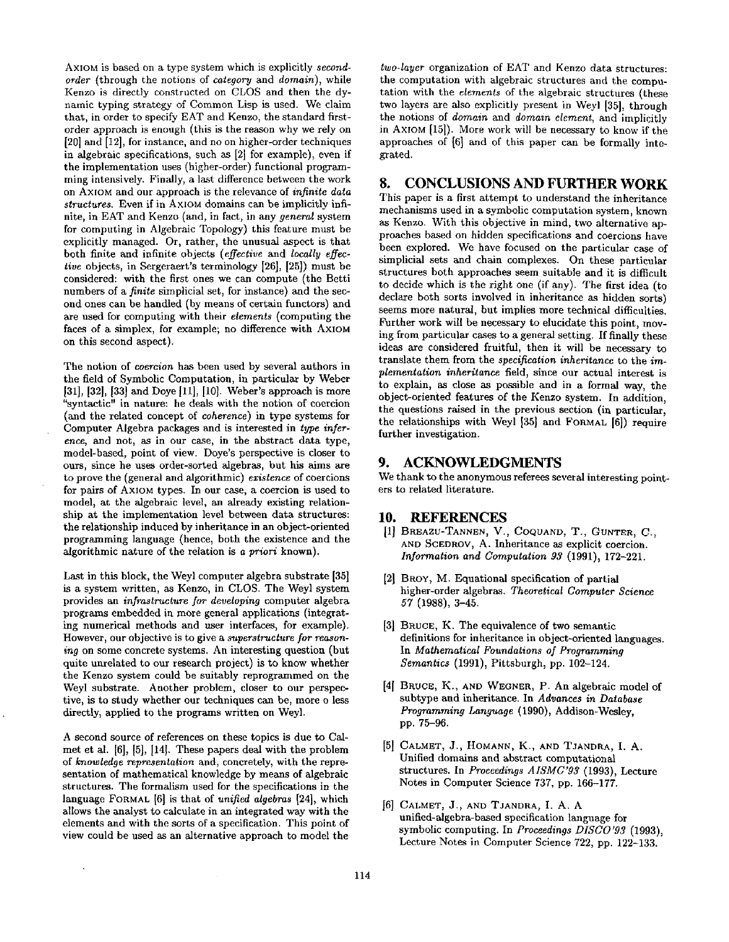AXIOM is based on a type system which is explicitly *secondorder* (through the notions of *category* and *domain),* while Kenzo is directly constructed on CLOS and then the dynamic typing strategy of Common Lisp is used. We claim that, in order to specify EAT and Kenzo, the standard firstorder approach is enough (this is the reason why we rely on [20] and [12], for instance, and no on higher-order techniques in algebraic specifications, such as [2] for example), even if the implementation uses (higher-order) functional programming intensively. Finally, a last difference between the work on AXIOM and our approach is the relevance of *infinite data structures.* Even if in AXIOM domains can be implicitly infinite, in EAT and Kenzo (and, in fact, in any *general* system for computing in Algebraic Topology) this feature must be explicitly managed. Or, rather, the unusual aspect is that both finite and infinite objects *(effective* and *locally effective* objects, in Sergeraert's terminology [26], [25]) must be considered: with the first ones we can compute (the Betti numbers of a *finite* simplicial set, for instance) and the second ones can be handled (by means of certain functors) and are used for computing with their *elements* (computing the faces of a simplex, for example; no difference with AXIOM on this second aspect).

The notion of *coercion* has been used by several authors in the field of Symbolic Computation, in particular by Weber [31], [32], [33] and Doye [11], [10]. Weber's approach is more "syntactic" in nature: he deals with the notion of coercion (and the related concept of *coherence)* in type systems for Computer Algebra packages and is interested in *type inference,* and not, as in our case, in the abstract data type, model-based, point of view. Doye's perspective is closer to  $\overline{9}$ . ours, since he uses order-sorted algebras, but his aims are to prove the (general and algorithmic) *existence* of coercions for pairs of AXIOM types. In our case, a coercion is used to model, at the algebraic level, an already existing relationship at the implementation level between data structures: 10. the relationship induced by inheritance in an object-oriented programming language (hence, both the existence and the algorithmic nature of the relation is *a priori* known).

Last in this block, the Weyl computer algebra substrate [35] is a system written, as Kenzo, in CLOS. The Weyl system provides an *infrastructure for developing* computer algebra programs embedded in more general applications (integrating numerical methods and user interfaces, for example). However, our objective is to give a *superstructure for reasoning* on some concrete systems. An interesting question (but quite unrelated to our research project) is to know whether the Kenzo system could be suitably reprogrammed on the Weyl substrate. Another problem, closer to our perspective, is to study whether our techniques can be, more o less directly, applied to the programs written on Weyl.

A second source of references on these topics is due to Calmet et al. [6], [5], [14]. These papers deal with the problem of *knowledge representation* and, concretely, with the representation of mathematical knowledge by means of algebraic structures. The formalism used for the specifications in the language FORMAL [6] is that of *unified algebras* [24], which allows the analyst to calculate in an integrated way with the elements and with the sorts of a specification. This point of view could be used as an alternative approach to model the

 $\bar{z}$ 

*two-layer* organization of EAT and Kenzo data structures: the computation with algebraic structures and the computation with the *elements* of the algebraic structures (these two layers are also explicitly present in Weyl [35], through the notions of *domain* and *domain element,* and implicitly in AXIOM [15]). More work will be necessary to know if the approaches of [6] and of this paper can be formally integrated.

# **8. CONCLUSIONS AND FURTHER WORK**

This paper is a first attempt to understand the inheritance mechanisms used in a symbolic computation system, known as Kenzo. With this objective in mind, two alternative approaches based on hidden specifications and coercions have been explored. We have focused on the particular case of simplicial sets and chain complexes. On these particular structures both approaches seem suitable and it is difficult to decide which is the right one (if any). The first idea (to declare both sorts involved in inheritance as hidden sorts) seems more natural, but implies more technical difficulties. Further work will be necessary to elucidate this point, moving from particular cases to a general setting. If finally these ideas are considered fruitful, then it will be necessary to translate them from the *specification inheritance* to the *implementation inheritance* field, since our actual interest is to explain, as close as possible and in a formal way, the object-oriented features of the Kenzo system. In addition, the questions raised in the previous section (in particular, the relationships with Weyl [35] and FORMAL [6]) require further investigation.

# **9. ACKNOWLEDGMENTS**

We thank to the anonymous referees several interesting pointers to related literature.

### **10. REFERENCES**

- [1] BREAzu-TANNEN, V., COQUAND, T., GUNTER, C., AND SCEDROV, A. Inheritance as explicit coercion. *Information and Computation 93* (1991), 172-221.
- **12l**  BROY, M. Equational specification of partial higher-order algebras. *Theoretical Computer Science*  57 (1988), 3-45.
- RUCE, K. The equivalence of two semantic definitions for inheritance in object-oriented languages. In *Mathematical Foundations of Programming Semantics* (1991), Pittsburgh, pp. 102-124.
- **[41**  BRUCE, K., AND WEGNER, P. An algebraic model of subtype and inheritance. In *Advances in Database Programming Language* (1990), Addison-Wesley, pp. 75-96.
- **[5]**  CALMET, J., HOMANN, K., AND TJANDRA, I. A. Unified domains and abstract computational structures. In *Proceedings AISMC'93* (1993), Lecture Notes in Computer Science 737, pp. 166-177.
- **16]**  CALMET, J., AND TJANDRA, I. A. A unified-algebra-based specification language for symbolic computing. In *Proceedings DISCO'93* (1993), Lecture Notes in Computer Science 722, pp. 122-133.